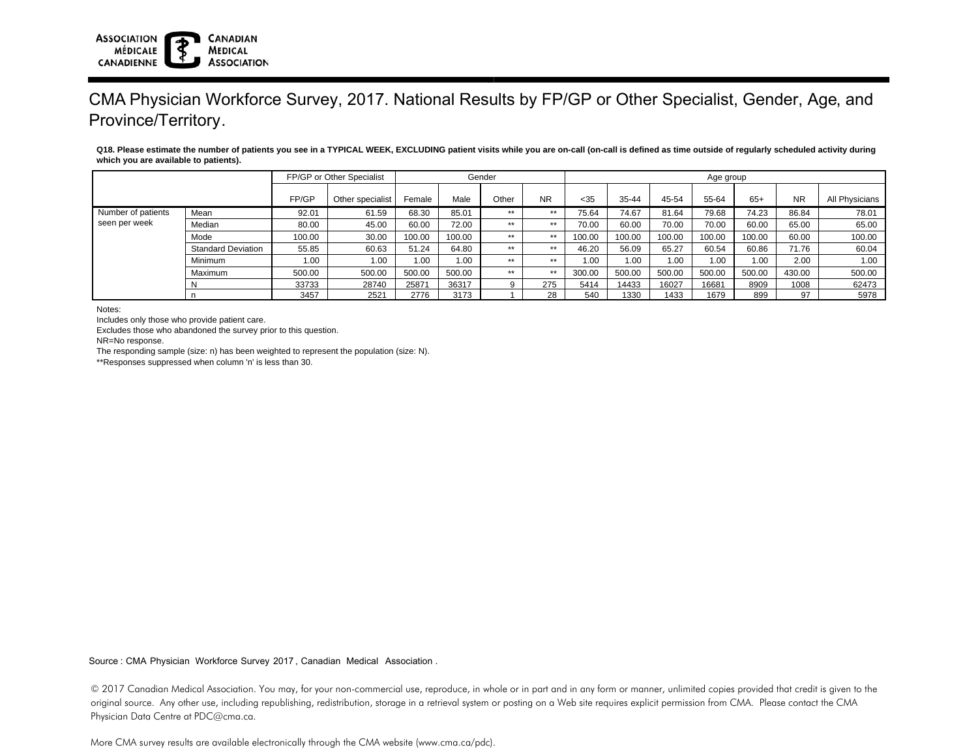## **ASSOCIATION CANADIAN MÉDICALE MEDICAL ASSOCIATION CANADIENNE**

## CMA Physician Workforce Survey, 2017. National Results by FP/GP or Other Specialist, Gender, Age, and Province/Territory.

**Q18. Please estimate the number of patients you see in a TYPICAL WEEK, EXCLUDING patient visits while you are on-call (on-call is defined as time outside of regularly scheduled activity during which you are available to patients).**

|                                     |                           | FP/GP or Other Specialist |                  | Gender |        |       |           | Age group |        |        |        |        |           |                |  |
|-------------------------------------|---------------------------|---------------------------|------------------|--------|--------|-------|-----------|-----------|--------|--------|--------|--------|-----------|----------------|--|
|                                     |                           | FP/GP                     | Other specialist | Female | Male   | Other | <b>NR</b> | $<$ 35    | 35-44  | 45-54  | 55-64  | $65+$  | <b>NR</b> | All Physicians |  |
| Number of patients<br>seen per week | Mean                      | 92.01                     | 61.59            | 68.30  | 85.01  | **    | **        | 75.64     | 74.67  | 81.64  | 79.68  | 74.23  | 86.84     | 78.01          |  |
|                                     | Median                    | 80.00                     | 45.00            | 60.00  | 72.00  | **    | **        | 70.00     | 60.00  | 70.00  | 70.00  | 60.00  | 65.00     | 65.00          |  |
|                                     | Mode                      | 100.00                    | 30.00            | 100.00 | 100.00 | **    | **        | 100.00    | 100.00 | 100.00 | 100.00 | 100.00 | 60.00     | 100.00         |  |
|                                     | <b>Standard Deviation</b> | 55.85                     | 60.63            | 51.24  | 64.80  | **    | **        | 46.20     | 56.09  | 65.27  | 60.54  | 60.86  | 71.76     | 60.04          |  |
|                                     | <b>Minimum</b>            | 1.00                      | 1.00             | 1.00   | 1.00   | **    | **        | 1.00      | 1.00   | 1.00   | 1.00   | 1.00   | 2.00      | 1.00           |  |
|                                     | Maximum                   | 500.00                    | 500.00           | 500.00 | 500.00 | **    | **        | 300.00    | 500.00 | 500.00 | 500.00 | 500.00 | 430.00    | 500.00         |  |
|                                     |                           | 33733                     | 28740            | 25871  | 36317  | 9     | 275       | 5414      | 14433  | 16027  | 16681  | 8909   | 1008      | 62473          |  |
|                                     |                           | 3457                      | 2521             | 2776   | 3173   |       | 28        | 540       | 1330   | 1433   | 1679   | 899    | 97        | 5978           |  |

Notes:

Includes only those who provide patient care.

Excludes those who abandoned the survey prior to this question.

NR=No response.

The responding sample (size: n) has been weighted to represent the population (size: N).

\*\*Responses suppressed when column 'n' is less than 30.

Source : CMA Physician Workforce Survey 2017, Canadian Medical Association .

© 2017 Canadian Medical Association. You may, for your non-commercial use, reproduce, in whole or in part and in any form or manner, unlimited copies provided that credit is given to the original source. Any other use, including republishing, redistribution, storage in a retrieval system or posting on a Web site requires explicit permission from CMA. Please contact the CMA Physician Data Centre at PDC@cma.ca.

More CMA survey results are available electronically through the CMA website (www.cma.ca/pdc).